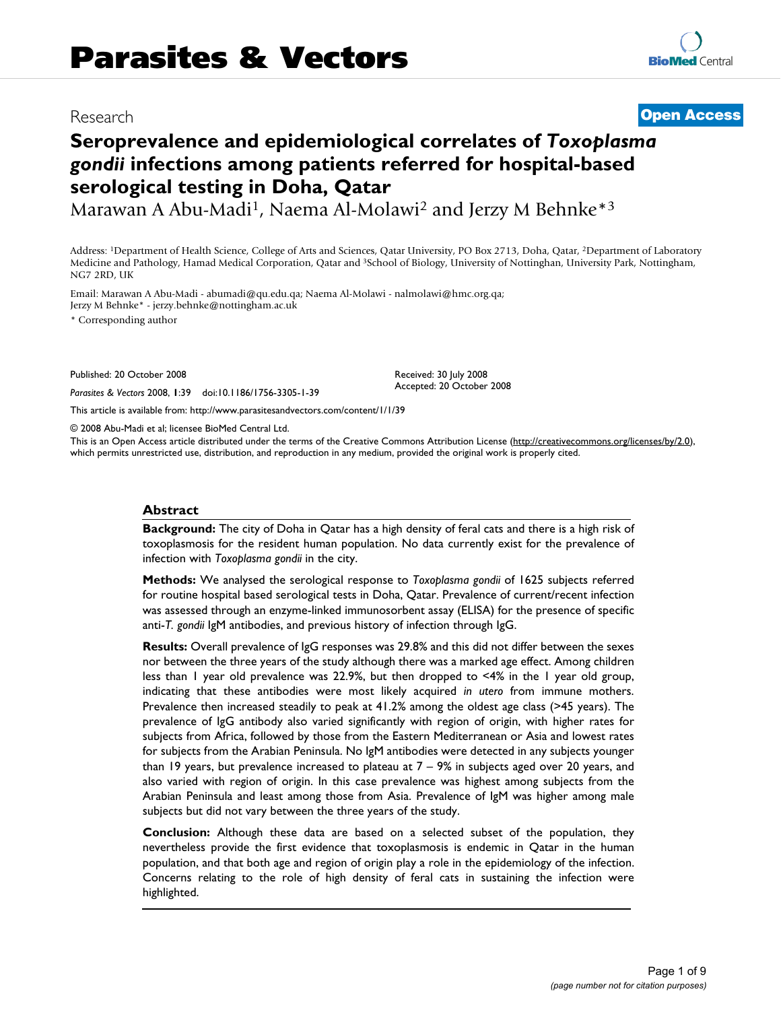## Research **[Open Access](http://www.biomedcentral.com/info/about/charter/)**

# **Seroprevalence and epidemiological correlates of** *Toxoplasma gondii* **infections among patients referred for hospital-based serological testing in Doha, Qatar**

Marawan A Abu-Madi<sup>1</sup>, Naema Al-Molawi<sup>2</sup> and Jerzy M Behnke<sup>\*3</sup>

Address: 1Department of Health Science, College of Arts and Sciences, Qatar University, PO Box 2713, Doha, Qatar, 2Department of Laboratory Medicine and Pathology, Hamad Medical Corporation, Qatar and 3School of Biology, University of Nottinghan, University Park, Nottingham, NG7 2RD, UK

Email: Marawan A Abu-Madi - abumadi@qu.edu.qa; Naema Al-Molawi - nalmolawi@hmc.org.qa; Jerzy M Behnke\* - jerzy.behnke@nottingham.ac.uk

\* Corresponding author

Published: 20 October 2008

*Parasites & Vectors* 2008, **1**:39 doi:10.1186/1756-3305-1-39

Received: 30 July 2008 Accepted: 20 October 2008

[This article is available from: http://www.parasitesandvectors.com/content/1/1/39](http://www.parasitesandvectors.com/content/1/1/39)

© 2008 Abu-Madi et al; licensee BioMed Central Ltd.

This is an Open Access article distributed under the terms of the Creative Commons Attribution License [\(http://creativecommons.org/licenses/by/2.0\)](http://creativecommons.org/licenses/by/2.0), which permits unrestricted use, distribution, and reproduction in any medium, provided the original work is properly cited.

#### **Abstract**

**Background:** The city of Doha in Qatar has a high density of feral cats and there is a high risk of toxoplasmosis for the resident human population. No data currently exist for the prevalence of infection with *Toxoplasma gondii* in the city.

**Methods:** We analysed the serological response to *Toxoplasma gondii* of 1625 subjects referred for routine hospital based serological tests in Doha, Qatar. Prevalence of current/recent infection was assessed through an enzyme-linked immunosorbent assay (ELISA) for the presence of specific anti-*T. gondii* IgM antibodies, and previous history of infection through IgG.

**Results:** Overall prevalence of IgG responses was 29.8% and this did not differ between the sexes nor between the three years of the study although there was a marked age effect. Among children less than 1 year old prevalence was 22.9%, but then dropped to <4% in the 1 year old group, indicating that these antibodies were most likely acquired *in utero* from immune mothers. Prevalence then increased steadily to peak at 41.2% among the oldest age class (>45 years). The prevalence of IgG antibody also varied significantly with region of origin, with higher rates for subjects from Africa, followed by those from the Eastern Mediterranean or Asia and lowest rates for subjects from the Arabian Peninsula. No IgM antibodies were detected in any subjects younger than 19 years, but prevalence increased to plateau at  $7 - 9\%$  in subjects aged over 20 years, and also varied with region of origin. In this case prevalence was highest among subjects from the Arabian Peninsula and least among those from Asia. Prevalence of IgM was higher among male subjects but did not vary between the three years of the study.

**Conclusion:** Although these data are based on a selected subset of the population, they nevertheless provide the first evidence that toxoplasmosis is endemic in Qatar in the human population, and that both age and region of origin play a role in the epidemiology of the infection. Concerns relating to the role of high density of feral cats in sustaining the infection were highlighted.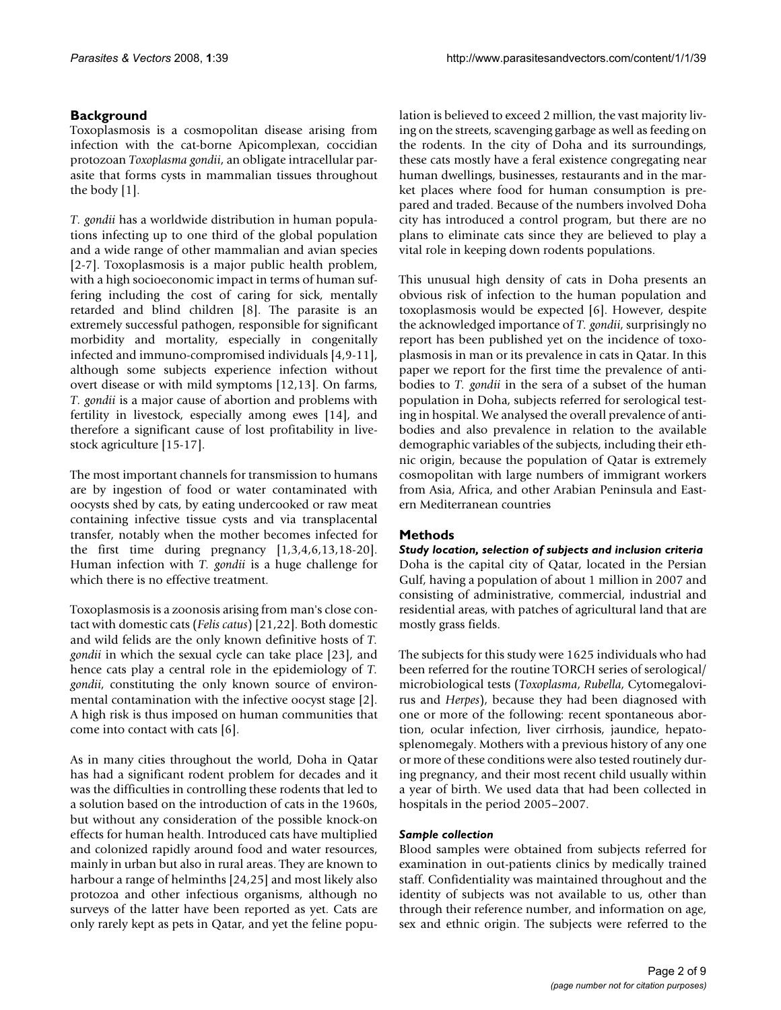### **Background**

Toxoplasmosis is a cosmopolitan disease arising from infection with the cat-borne Apicomplexan, coccidian protozoan *Toxoplasma gondii*, an obligate intracellular parasite that forms cysts in mammalian tissues throughout the body [1].

*T. gondii* has a worldwide distribution in human populations infecting up to one third of the global population and a wide range of other mammalian and avian species [2-7]. Toxoplasmosis is a major public health problem, with a high socioeconomic impact in terms of human suffering including the cost of caring for sick, mentally retarded and blind children [8]. The parasite is an extremely successful pathogen, responsible for significant morbidity and mortality, especially in congenitally infected and immuno-compromised individuals [4,9-11], although some subjects experience infection without overt disease or with mild symptoms [12,13]. On farms, *T. gondii* is a major cause of abortion and problems with fertility in livestock, especially among ewes [14], and therefore a significant cause of lost profitability in livestock agriculture [15-[17\]](#page-8-0).

The most important channels for transmission to humans are by ingestion of food or water contaminated with oocysts shed by cats, by eating undercooked or raw meat containing infective tissue cysts and via transplacental transfer, notably when the mother becomes infected for the first time during pregnancy [1,3,4,6,13,18[-20](#page-8-1)]. Human infection with *T. gondii* is a huge challenge for which there is no effective treatment.

Toxoplasmosis is a zoonosis arising from man's close contact with domestic cats (*Felis catus*) [21,22]. Both domestic and wild felids are the only known definitive hosts of *T. gondii* in which the sexual cycle can take place [23], and hence cats play a central role in the epidemiology of *T. gondii*, constituting the only known source of environmental contamination with the infective oocyst stage [2]. A high risk is thus imposed on human communities that come into contact with cats [6].

As in many cities throughout the world, Doha in Qatar has had a significant rodent problem for decades and it was the difficulties in controlling these rodents that led to a solution based on the introduction of cats in the 1960s, but without any consideration of the possible knock-on effects for human health. Introduced cats have multiplied and colonized rapidly around food and water resources, mainly in urban but also in rural areas. They are known to harbour a range of helminths [24,25] and most likely also protozoa and other infectious organisms, although no surveys of the latter have been reported as yet. Cats are only rarely kept as pets in Qatar, and yet the feline population is believed to exceed 2 million, the vast majority living on the streets, scavenging garbage as well as feeding on the rodents. In the city of Doha and its surroundings, these cats mostly have a feral existence congregating near human dwellings, businesses, restaurants and in the market places where food for human consumption is prepared and traded. Because of the numbers involved Doha city has introduced a control program, but there are no plans to eliminate cats since they are believed to play a vital role in keeping down rodents populations.

This unusual high density of cats in Doha presents an obvious risk of infection to the human population and toxoplasmosis would be expected [6]. However, despite the acknowledged importance of *T. gondii*, surprisingly no report has been published yet on the incidence of toxoplasmosis in man or its prevalence in cats in Qatar. In this paper we report for the first time the prevalence of antibodies to *T. gondii* in the sera of a subset of the human population in Doha, subjects referred for serological testing in hospital. We analysed the overall prevalence of antibodies and also prevalence in relation to the available demographic variables of the subjects, including their ethnic origin, because the population of Qatar is extremely cosmopolitan with large numbers of immigrant workers from Asia, Africa, and other Arabian Peninsula and Eastern Mediterranean countries

#### **Methods**

*Study location, selection of subjects and inclusion criteria* Doha is the capital city of Qatar, located in the Persian Gulf, having a population of about 1 million in 2007 and consisting of administrative, commercial, industrial and residential areas, with patches of agricultural land that are mostly grass fields.

The subjects for this study were 1625 individuals who had been referred for the routine TORCH series of serological/ microbiological tests (*Toxoplasma*, *Rubella*, Cytomegalovirus and *Herpes*), because they had been diagnosed with one or more of the following: recent spontaneous abortion, ocular infection, liver cirrhosis, jaundice, hepatosplenomegaly. Mothers with a previous history of any one or more of these conditions were also tested routinely during pregnancy, and their most recent child usually within a year of birth. We used data that had been collected in hospitals in the period 2005–2007.

#### *Sample collection*

Blood samples were obtained from subjects referred for examination in out-patients clinics by medically trained staff. Confidentiality was maintained throughout and the identity of subjects was not available to us, other than through their reference number, and information on age, sex and ethnic origin. The subjects were referred to the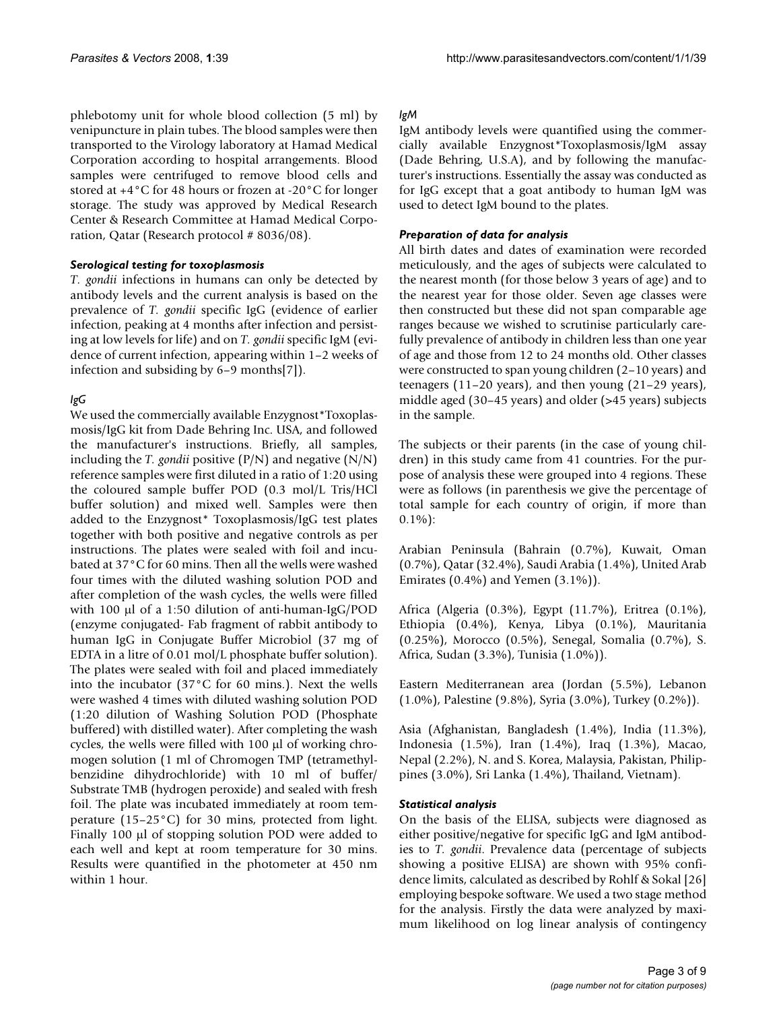phlebotomy unit for whole blood collection (5 ml) by venipuncture in plain tubes. The blood samples were then transported to the Virology laboratory at Hamad Medical Corporation according to hospital arrangements. Blood samples were centrifuged to remove blood cells and stored at +4°C for 48 hours or frozen at -20°C for longer storage. The study was approved by Medical Research Center & Research Committee at Hamad Medical Corporation, Qatar (Research protocol # 8036/08).

#### *Serological testing for toxoplasmosis*

*T. gondii* infections in humans can only be detected by antibody levels and the current analysis is based on the prevalence of *T. gondii* specific IgG (evidence of earlier infection, peaking at 4 months after infection and persisting at low levels for life) and on *T. gondii* specific IgM (evidence of current infection, appearing within 1–2 weeks of infection and subsiding by 6–9 months[7]).

#### *IgG*

We used the commercially available Enzygnost\*Toxoplasmosis/IgG kit from Dade Behring Inc. USA, and followed the manufacturer's instructions. Briefly, all samples, including the *T. gondii* positive (P/N) and negative (N/N) reference samples were first diluted in a ratio of 1:20 using the coloured sample buffer POD (0.3 mol/L Tris/HCl buffer solution) and mixed well. Samples were then added to the Enzygnost\* Toxoplasmosis/IgG test plates together with both positive and negative controls as per instructions. The plates were sealed with foil and incubated at 37°C for 60 mins. Then all the wells were washed four times with the diluted washing solution POD and after completion of the wash cycles, the wells were filled with 100 μl of a 1:50 dilution of anti-human-IgG/POD (enzyme conjugated- Fab fragment of rabbit antibody to human IgG in Conjugate Buffer Microbiol (37 mg of EDTA in a litre of 0.01 mol/L phosphate buffer solution). The plates were sealed with foil and placed immediately into the incubator (37°C for 60 mins.). Next the wells were washed 4 times with diluted washing solution POD (1:20 dilution of Washing Solution POD (Phosphate buffered) with distilled water). After completing the wash cycles, the wells were filled with 100 μl of working chromogen solution (1 ml of Chromogen TMP (tetramethylbenzidine dihydrochloride) with 10 ml of buffer/ Substrate TMB (hydrogen peroxide) and sealed with fresh foil. The plate was incubated immediately at room temperature (15–25°C) for 30 mins, protected from light. Finally 100 μl of stopping solution POD were added to each well and kept at room temperature for 30 mins. Results were quantified in the photometer at 450 nm within 1 hour.

#### *IgM*

IgM antibody levels were quantified using the commercially available Enzygnost\*Toxoplasmosis/IgM assay (Dade Behring, U.S.A), and by following the manufacturer's instructions. Essentially the assay was conducted as for IgG except that a goat antibody to human IgM was used to detect IgM bound to the plates.

#### *Preparation of data for analysis*

All birth dates and dates of examination were recorded meticulously, and the ages of subjects were calculated to the nearest month (for those below 3 years of age) and to the nearest year for those older. Seven age classes were then constructed but these did not span comparable age ranges because we wished to scrutinise particularly carefully prevalence of antibody in children less than one year of age and those from 12 to 24 months old. Other classes were constructed to span young children (2–10 years) and teenagers (11–20 years), and then young (21–29 years), middle aged (30–45 years) and older (>45 years) subjects in the sample.

The subjects or their parents (in the case of young children) in this study came from 41 countries. For the purpose of analysis these were grouped into 4 regions. These were as follows (in parenthesis we give the percentage of total sample for each country of origin, if more than 0.1%):

Arabian Peninsula (Bahrain (0.7%), Kuwait, Oman (0.7%), Qatar (32.4%), Saudi Arabia (1.4%), United Arab Emirates (0.4%) and Yemen (3.1%)).

Africa (Algeria (0.3%), Egypt (11.7%), Eritrea (0.1%), Ethiopia (0.4%), Kenya, Libya (0.1%), Mauritania (0.25%), Morocco (0.5%), Senegal, Somalia (0.7%), S. Africa, Sudan (3.3%), Tunisia (1.0%)).

Eastern Mediterranean area (Jordan (5.5%), Lebanon (1.0%), Palestine (9.8%), Syria (3.0%), Turkey (0.2%)).

Asia (Afghanistan, Bangladesh (1.4%), India (11.3%), Indonesia (1.5%), Iran (1.4%), Iraq (1.3%), Macao, Nepal (2.2%), N. and S. Korea, Malaysia, Pakistan, Philippines (3.0%), Sri Lanka (1.4%), Thailand, Vietnam).

#### *Statistical analysis*

On the basis of the ELISA, subjects were diagnosed as either positive/negative for specific IgG and IgM antibodies to *T. gondii*. Prevalence data (percentage of subjects showing a positive ELISA) are shown with 95% confidence limits, calculated as described by Rohlf & Sokal [26] employing bespoke software. We used a two stage method for the analysis. Firstly the data were analyzed by maximum likelihood on log linear analysis of contingency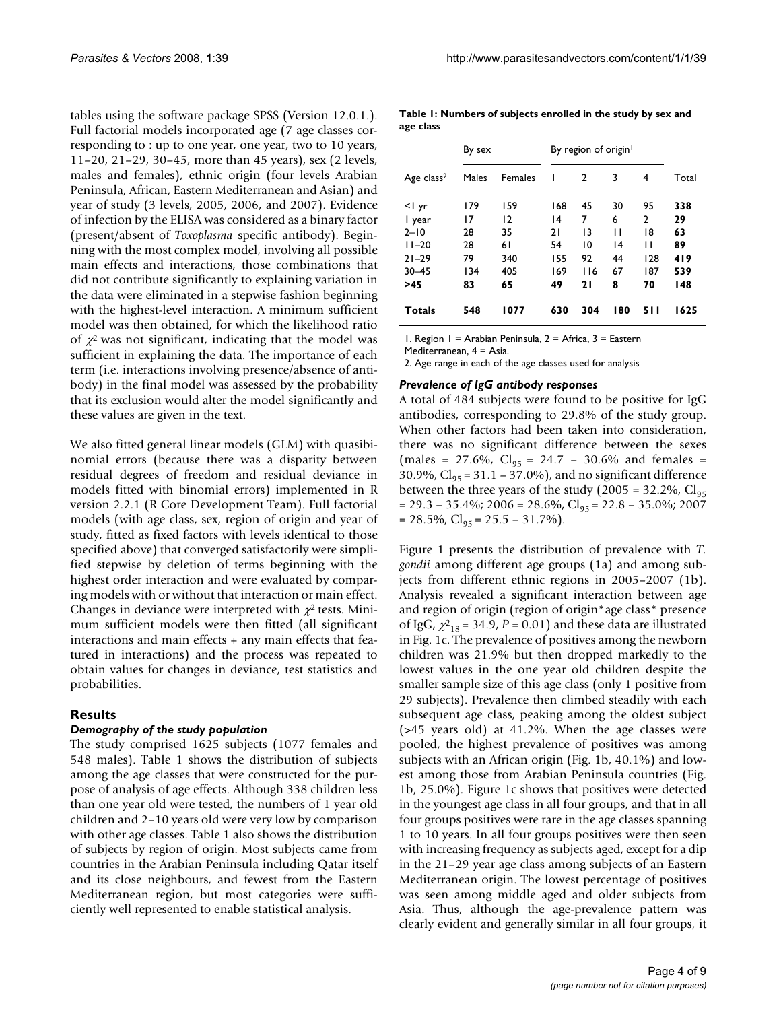tables using the software package SPSS (Version 12.0.1.). Full factorial models incorporated age (7 age classes corresponding to : up to one year, one year, two to 10 years, 11–20, 21–29, 30–45, more than 45 years), sex (2 levels, males and females), ethnic origin (four levels Arabian Peninsula, African, Eastern Mediterranean and Asian) and year of study (3 levels, 2005, 2006, and 2007). Evidence of infection by the ELISA was considered as a binary factor (present/absent of *Toxoplasma* specific antibody). Beginning with the most complex model, involving all possible main effects and interactions, those combinations that did not contribute significantly to explaining variation in the data were eliminated in a stepwise fashion beginning with the highest-level interaction. A minimum sufficient model was then obtained, for which the likelihood ratio of  $\chi^2$  was not significant, indicating that the model was sufficient in explaining the data. The importance of each term (i.e. interactions involving presence/absence of antibody) in the final model was assessed by the probability that its exclusion would alter the model significantly and these values are given in the text.

We also fitted general linear models (GLM) with quasibinomial errors (because there was a disparity between residual degrees of freedom and residual deviance in models fitted with binomial errors) implemented in R version 2.2.1 (R Core Development Team). Full factorial models (with age class, sex, region of origin and year of study, fitted as fixed factors with levels identical to those specified above) that converged satisfactorily were simplified stepwise by deletion of terms beginning with the highest order interaction and were evaluated by comparing models with or without that interaction or main effect. Changes in deviance were interpreted with  $\chi^2$  tests. Minimum sufficient models were then fitted (all significant interactions and main effects + any main effects that featured in interactions) and the process was repeated to obtain values for changes in deviance, test statistics and probabilities.

#### **Results**

#### *Demography of the study population*

The study comprised 1625 subjects (1077 females and 548 males). Table 1 shows the distribution of subjects among the age classes that were constructed for the purpose of analysis of age effects. Although 338 children less than one year old were tested, the numbers of 1 year old children and 2–10 years old were very low by comparison with other age classes. Table 1 also shows the distribution of subjects by region of origin. Most subjects came from countries in the Arabian Peninsula including Qatar itself and its close neighbours, and fewest from the Eastern Mediterranean region, but most categories were sufficiently well represented to enable statistical analysis.

**Table 1: Numbers of subjects enrolled in the study by sex and age class**

|                        | By sex |         | By region of origin <sup>1</sup> |                 |                 |       |       |
|------------------------|--------|---------|----------------------------------|-----------------|-----------------|-------|-------|
| Age class <sup>2</sup> | Males  | Females | I.                               | 2               | 3               | 4     | Total |
| <1 yr                  | 179    | 159     | 168                              | 45              | 30              | 95    | 338   |
| I year                 | 17     | 12      | 4                                | 7               | 6               | 2     | 29    |
| $2 - 10$               | 28     | 35      | 21                               | $\overline{13}$ | П               | 18    | 63    |
| $11 - 20$              | 28     | 61      | 54                               | 10              | $\overline{14}$ | П     | 89    |
| $21 - 29$              | 79     | 340     | 155                              | 92              | 44              | 128   | 419   |
| $30 - 45$              | 134    | 405     | 169                              | 116             | 67              | 187   | 539   |
| >45                    | 83     | 65      | 49                               | 21              | 8               | 70    | 148   |
| <b>Totals</b>          | 548    | 1077    | 630                              | 304             | 180             | 5 I I | 1625  |

1. Region 1 = Arabian Peninsula, 2 = Africa, 3 = Eastern

Mediterranean, 4 = Asia. 2. Age range in each of the age classes used for analysis

#### *Prevalence of IgG antibody responses*

A total of 484 subjects were found to be positive for IgG antibodies, corresponding to 29.8% of the study group. When other factors had been taken into consideration, there was no significant difference between the sexes (males = 27.6%,  $Cl_{95}$  = 24.7 – 30.6% and females = 30.9%,  $Cl_{95} = 31.1 - 37.0%$ , and no significant difference between the three years of the study (2005 = 32.2%,  $Cl_{95}$  $= 29.3 - 35.4\%$ ; 2006  $= 28.6\%$ , Cl<sub>95</sub>  $= 22.8 - 35.0\%$ ; 2007  $= 28.5\%$ , Cl<sub>95</sub>  $= 25.5 - 31.7\%$ ).

Figure 1 presents the distribution of prevalence with *T. gondii* among different age groups (1a) and among subjects from different ethnic regions in 2005–2007 (1b). Analysis revealed a significant interaction between age and region of origin (region of origin\*age class\* presence of IgG,  $\chi^2_{18}$  = 34.9, *P* = 0.01) and these data are illustrated in Fig. 1c. The prevalence of positives among the newborn children was 21.9% but then dropped markedly to the lowest values in the one year old children despite the smaller sample size of this age class (only 1 positive from 29 subjects). Prevalence then climbed steadily with each subsequent age class, peaking among the oldest subject (>45 years old) at 41.2%. When the age classes were pooled, the highest prevalence of positives was among subjects with an African origin (Fig. 1b, 40.1%) and lowest among those from Arabian Peninsula countries (Fig. 1b, 25.0%). Figure 1c shows that positives were detected in the youngest age class in all four groups, and that in all four groups positives were rare in the age classes spanning 1 to 10 years. In all four groups positives were then seen with increasing frequency as subjects aged, except for a dip in the 21–29 year age class among subjects of an Eastern Mediterranean origin. The lowest percentage of positives was seen among middle aged and older subjects from Asia. Thus, although the age-prevalence pattern was clearly evident and generally similar in all four groups, it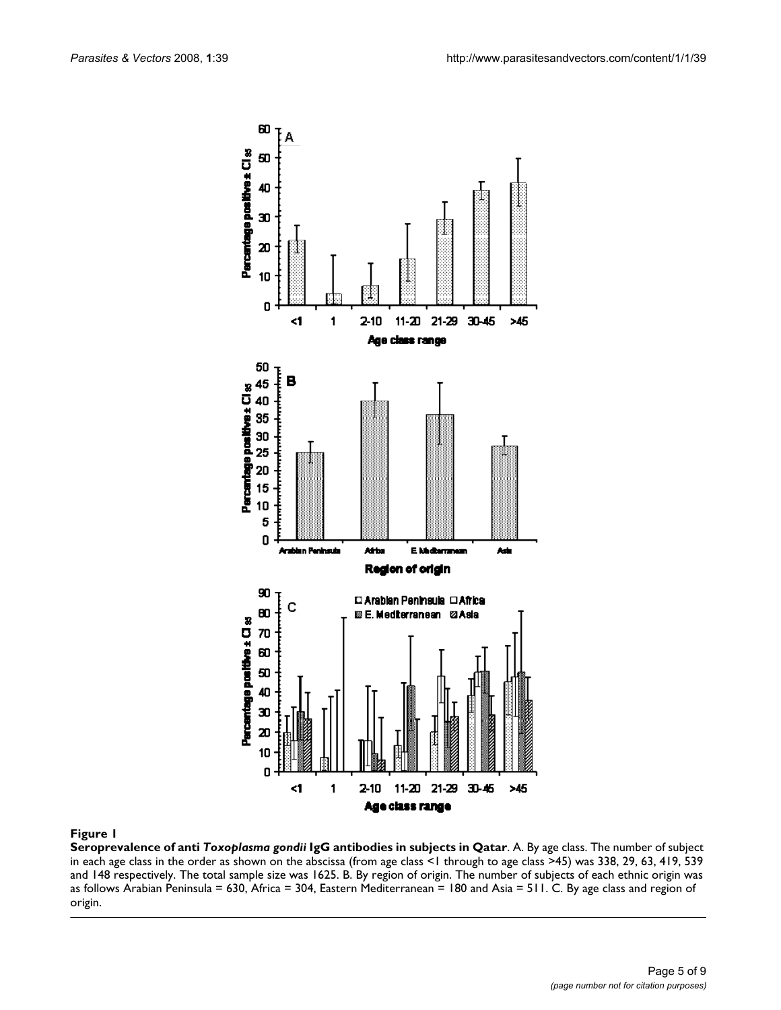

#### Figure 1

**Seroprevalence of anti** *Toxoplasma gondii* **IgG antibodies in subjects in Qatar**. A. By age class. The number of subject in each age class in the order as shown on the abscissa (from age class <1 through to age class >45) was 338, 29, 63, 419, 539 and 148 respectively. The total sample size was 1625. B. By region of origin. The number of subjects of each ethnic origin was as follows Arabian Peninsula = 630, Africa = 304, Eastern Mediterranean = 180 and Asia = 511. C. By age class and region of origin.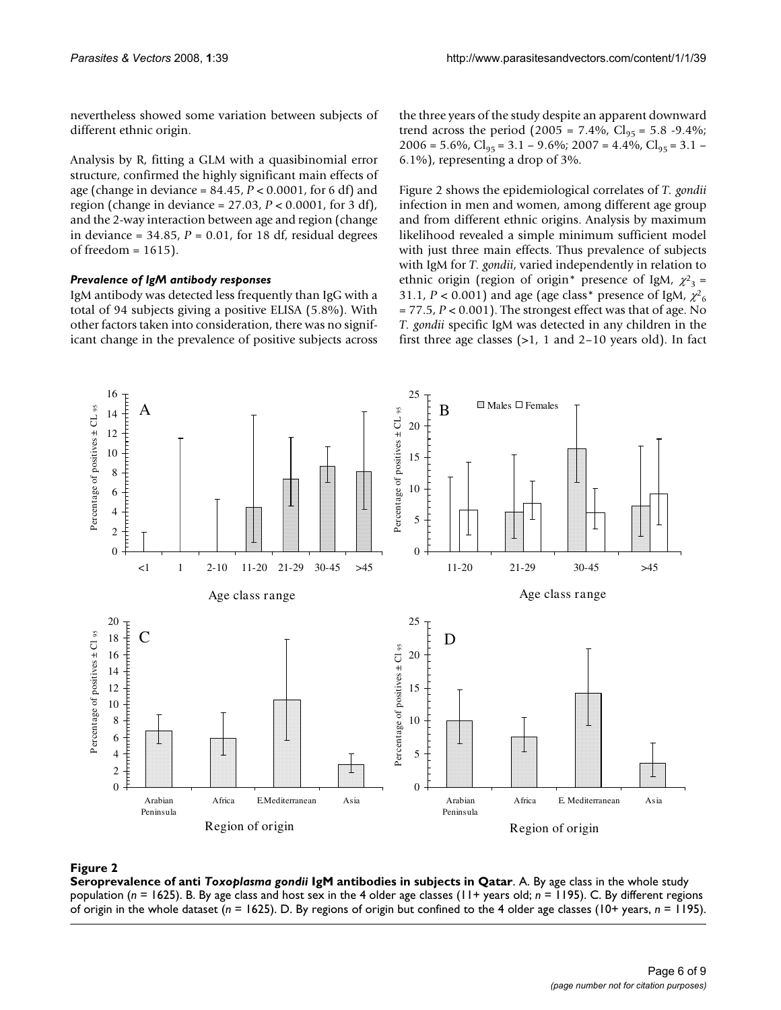nevertheless showed some variation between subjects of different ethnic origin.

Analysis by R, fitting a GLM with a quasibinomial error structure, confirmed the highly significant main effects of age (change in deviance = 84.45, *P* < 0.0001, for 6 df) and region (change in deviance = 27.03, *P* < 0.0001, for 3 df), and the 2-way interaction between age and region (change in deviance =  $34.85$ ,  $P = 0.01$ , for 18 df, residual degrees of freedom  $= 1615$ ).

#### *Prevalence of IgM antibody responses*

IgM antibody was detected less frequently than IgG with a total of 94 subjects giving a positive ELISA (5.8%). With other factors taken into consideration, there was no significant change in the prevalence of positive subjects across the three years of the study despite an apparent downward trend across the period (2005 = 7.4%,  $Cl_{95}$  = 5.8 -9.4%;  $2006 = 5.6\%$ ,  $Cl_{95} = 3.1 - 9.6\%$ ;  $2007 = 4.4\%$ ,  $Cl_{95} = 3.1 -$ 6.1%), representing a drop of 3%.

Figure 2 shows the epidemiological correlates of *T. gondii* infection in men and women, among different age group and from different ethnic origins. Analysis by maximum likelihood revealed a simple minimum sufficient model with just three main effects. Thus prevalence of subjects with IgM for *T. gondii*, varied independently in relation to ethnic origin (region of origin\* presence of IgM,  $\chi^2$ <sub>3</sub> = 31.1,  $P < 0.001$ ) and age (age class\* presence of IgM,  $\chi^2_{6}$  $= 77.5$ ,  $P < 0.001$ ). The strongest effect was that of age. No *T. gondii* specific IgM was detected in any children in the first three age classes (>1, 1 and 2–10 years old). In fact



#### Figure 2

**Seroprevalence of anti** *Toxoplasma gondii* **IgM antibodies in subjects in Qatar**. A. By age class in the whole study population (*n* = 1625). B. By age class and host sex in the 4 older age classes (11+ years old; *n* = 1195). C. By different regions of origin in the whole dataset (*n* = 1625). D. By regions of origin but confined to the 4 older age classes (10+ years, *n* = 1195).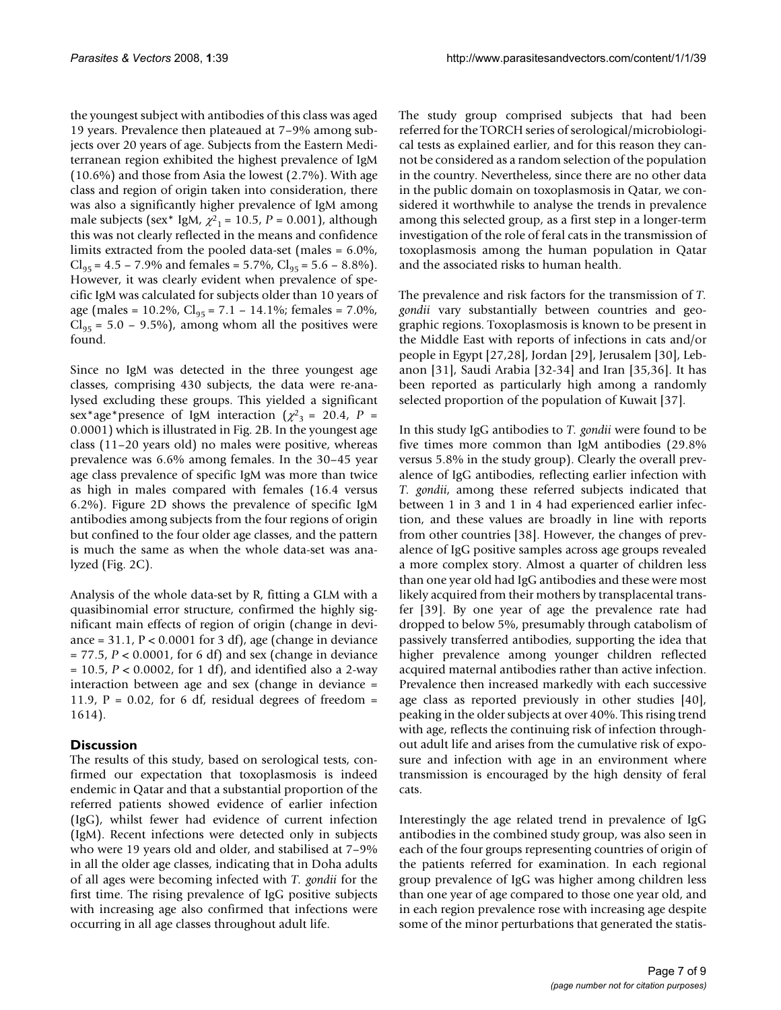the youngest subject with antibodies of this class was aged 19 years. Prevalence then plateaued at 7–9% among subjects over 20 years of age. Subjects from the Eastern Mediterranean region exhibited the highest prevalence of IgM (10.6%) and those from Asia the lowest (2.7%). With age class and region of origin taken into consideration, there was also a significantly higher prevalence of IgM among male subjects (sex<sup>\*</sup> IgM,  $\chi^2_{1}$  = 10.5, *P* = 0.001), although this was not clearly reflected in the means and confidence limits extracted from the pooled data-set (males = 6.0%,  $Cl_{95} = 4.5 - 7.9\%$  and females = 5.7%,  $Cl_{95} = 5.6 - 8.8\%$ ). However, it was clearly evident when prevalence of specific IgM was calculated for subjects older than 10 years of age (males = 10.2%,  $Cl_{95} = 7.1 - 14.1$ %; females = 7.0%,  $Cl_{95} = 5.0 - 9.5\%$ ), among whom all the positives were found.

Since no IgM was detected in the three youngest age classes, comprising 430 subjects, the data were re-analysed excluding these groups. This yielded a significant sex\*age\*presence of IgM interaction  $(\chi^2$ <sub>3</sub> = 20.4, P = 0.0001) which is illustrated in Fig. 2B. In the youngest age class (11–20 years old) no males were positive, whereas prevalence was 6.6% among females. In the 30–45 year age class prevalence of specific IgM was more than twice as high in males compared with females (16.4 versus 6.2%). Figure 2D shows the prevalence of specific IgM antibodies among subjects from the four regions of origin but confined to the four older age classes, and the pattern is much the same as when the whole data-set was analyzed (Fig. 2C).

Analysis of the whole data-set by R, fitting a GLM with a quasibinomial error structure, confirmed the highly significant main effects of region of origin (change in deviance =  $31.1$ ,  $P < 0.0001$  for  $3 \text{ df}$ ), age (change in deviance = 77.5, *P* < 0.0001, for 6 df) and sex (change in deviance = 10.5, *P* < 0.0002, for 1 df), and identified also a 2-way interaction between age and sex (change in deviance = 11.9,  $P = 0.02$ , for 6 df, residual degrees of freedom = 1614).

#### **Discussion**

The results of this study, based on serological tests, confirmed our expectation that toxoplasmosis is indeed endemic in Qatar and that a substantial proportion of the referred patients showed evidence of earlier infection (IgG), whilst fewer had evidence of current infection (IgM). Recent infections were detected only in subjects who were 19 years old and older, and stabilised at 7–9% in all the older age classes, indicating that in Doha adults of all ages were becoming infected with *T. gondii* for the first time. The rising prevalence of IgG positive subjects with increasing age also confirmed that infections were occurring in all age classes throughout adult life.

The study group comprised subjects that had been referred for the TORCH series of serological/microbiological tests as explained earlier, and for this reason they cannot be considered as a random selection of the population in the country. Nevertheless, since there are no other data in the public domain on toxoplasmosis in Qatar, we considered it worthwhile to analyse the trends in prevalence among this selected group, as a first step in a longer-term investigation of the role of feral cats in the transmission of toxoplasmosis among the human population in Qatar and the associated risks to human health.

The prevalence and risk factors for the transmission of *T. gondii* vary substantially between countries and geographic regions. Toxoplasmosis is known to be present in the Middle East with reports of infections in cats and/or people in Egypt [\[27](#page-8-2),[28](#page-8-3)], Jordan [29], Jerusalem [30], Lebanon [[31](#page-8-4)], Saudi Arabia [\[32](#page-8-5)-34] and Iran [35,36]. It has been reported as particularly high among a randomly selected proportion of the population of Kuwait [37].

In this study IgG antibodies to *T. gondii* were found to be five times more common than IgM antibodies (29.8% versus 5.8% in the study group). Clearly the overall prevalence of IgG antibodies, reflecting earlier infection with *T. gondii*, among these referred subjects indicated that between 1 in 3 and 1 in 4 had experienced earlier infection, and these values are broadly in line with reports from other countries [38]. However, the changes of prevalence of IgG positive samples across age groups revealed a more complex story. Almost a quarter of children less than one year old had IgG antibodies and these were most likely acquired from their mothers by transplacental transfer [39]. By one year of age the prevalence rate had dropped to below 5%, presumably through catabolism of passively transferred antibodies, supporting the idea that higher prevalence among younger children reflected acquired maternal antibodies rather than active infection. Prevalence then increased markedly with each successive age class as reported previously in other studies [40], peaking in the older subjects at over 40%. This rising trend with age, reflects the continuing risk of infection throughout adult life and arises from the cumulative risk of exposure and infection with age in an environment where transmission is encouraged by the high density of feral cats.

Interestingly the age related trend in prevalence of IgG antibodies in the combined study group, was also seen in each of the four groups representing countries of origin of the patients referred for examination. In each regional group prevalence of IgG was higher among children less than one year of age compared to those one year old, and in each region prevalence rose with increasing age despite some of the minor perturbations that generated the statis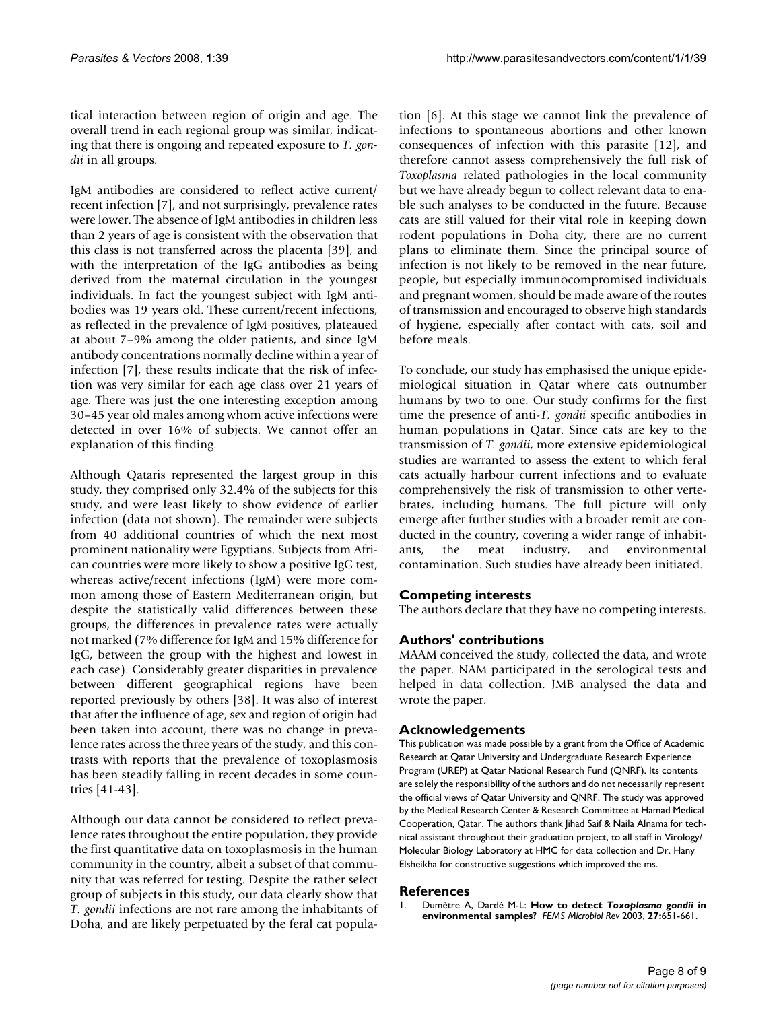tical interaction between region of origin and age. The overall trend in each regional group was similar, indicating that there is ongoing and repeated exposure to *T. gondii* in all groups.

IgM antibodies are considered to reflect active current/ recent infection [7], and not surprisingly, prevalence rates were lower. The absence of IgM antibodies in children less than 2 years of age is consistent with the observation that this class is not transferred across the placenta [39], and with the interpretation of the IgG antibodies as being derived from the maternal circulation in the youngest individuals. In fact the youngest subject with IgM antibodies was 19 years old. These current/recent infections, as reflected in the prevalence of IgM positives, plateaued at about 7–9% among the older patients, and since IgM antibody concentrations normally decline within a year of infection [7], these results indicate that the risk of infection was very similar for each age class over 21 years of age. There was just the one interesting exception among 30–45 year old males among whom active infections were detected in over 16% of subjects. We cannot offer an explanation of this finding.

Although Qataris represented the largest group in this study, they comprised only 32.4% of the subjects for this study, and were least likely to show evidence of earlier infection (data not shown). The remainder were subjects from 40 additional countries of which the next most prominent nationality were Egyptians. Subjects from African countries were more likely to show a positive IgG test, whereas active/recent infections (IgM) were more common among those of Eastern Mediterranean origin, but despite the statistically valid differences between these groups, the differences in prevalence rates were actually not marked (7% difference for IgM and 15% difference for IgG, between the group with the highest and lowest in each case). Considerably greater disparities in prevalence between different geographical regions have been reported previously by others [38]. It was also of interest that after the influence of age, sex and region of origin had been taken into account, there was no change in prevalence rates across the three years of the study, and this contrasts with reports that the prevalence of toxoplasmosis has been steadily falling in recent decades in some countries [41-43].

Although our data cannot be considered to reflect prevalence rates throughout the entire population, they provide the first quantitative data on toxoplasmosis in the human community in the country, albeit a subset of that community that was referred for testing. Despite the rather select group of subjects in this study, our data clearly show that *T. gondii* infections are not rare among the inhabitants of Doha, and are likely perpetuated by the feral cat population [6]. At this stage we cannot link the prevalence of infections to spontaneous abortions and other known consequences of infection with this parasite [12], and therefore cannot assess comprehensively the full risk of *Toxoplasma* related pathologies in the local community but we have already begun to collect relevant data to enable such analyses to be conducted in the future. Because cats are still valued for their vital role in keeping down rodent populations in Doha city, there are no current plans to eliminate them. Since the principal source of infection is not likely to be removed in the near future, people, but especially immunocompromised individuals and pregnant women, should be made aware of the routes of transmission and encouraged to observe high standards of hygiene, especially after contact with cats, soil and before meals.

To conclude, our study has emphasised the unique epidemiological situation in Qatar where cats outnumber humans by two to one. Our study confirms for the first time the presence of anti-*T. gondii* specific antibodies in human populations in Qatar. Since cats are key to the transmission of *T. gondii*, more extensive epidemiological studies are warranted to assess the extent to which feral cats actually harbour current infections and to evaluate comprehensively the risk of transmission to other vertebrates, including humans. The full picture will only emerge after further studies with a broader remit are conducted in the country, covering a wider range of inhabitants, the meat industry, and environmental contamination. Such studies have already been initiated.

#### **Competing interests**

The authors declare that they have no competing interests.

#### **Authors' contributions**

MAAM conceived the study, collected the data, and wrote the paper. NAM participated in the serological tests and helped in data collection. JMB analysed the data and wrote the paper.

#### **Acknowledgements**

This publication was made possible by a grant from the Office of Academic Research at Qatar University and Undergraduate Research Experience Program (UREP) at Qatar National Research Fund (QNRF). Its contents are solely the responsibility of the authors and do not necessarily represent the official views of Qatar University and QNRF. The study was approved by the Medical Research Center & Research Committee at Hamad Medical Cooperation, Qatar. The authors thank Jihad Saif & Naila Alnama for technical assistant throughout their graduation project, to all staff in Virology/ Molecular Biology Laboratory at HMC for data collection and Dr. Hany Elsheikha for constructive suggestions which improved the ms.

#### **References**

1. Dumètre A, Dardé M-L: **How to detect** *Toxoplasma gondii* **[in](http://www.ncbi.nlm.nih.gov/entrez/query.fcgi?cmd=Retrieve&db=PubMed&dopt=Abstract&list_uids=14638417) [environmental samples?](http://www.ncbi.nlm.nih.gov/entrez/query.fcgi?cmd=Retrieve&db=PubMed&dopt=Abstract&list_uids=14638417)** *FEMS Microbiol Rev* 2003, **27:**651-661.